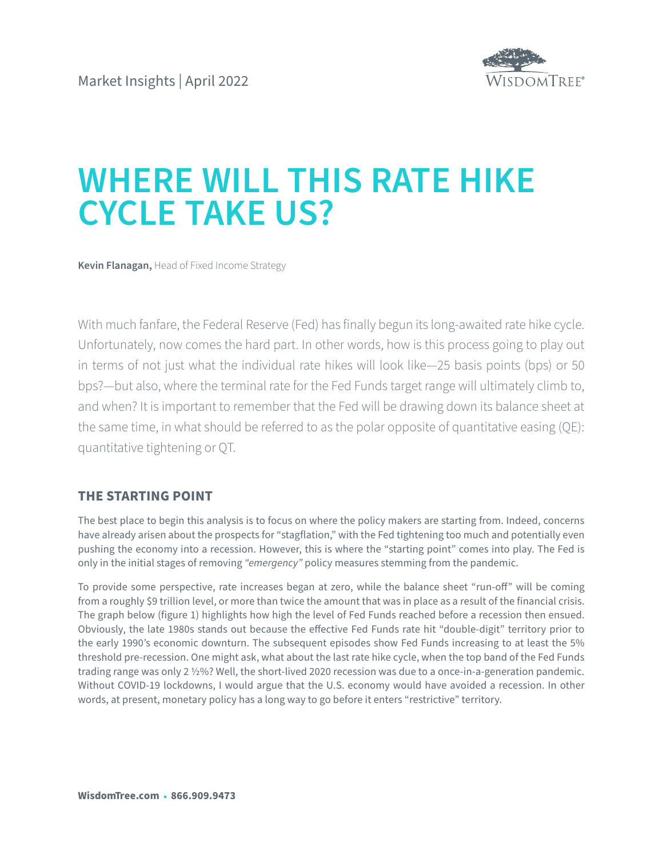

# **WHERE WILL THIS RATE HIKE CYCLE TAKE US?**

**Kevin Flanagan,** Head of Fixed Income Strategy

With much fanfare, the Federal Reserve (Fed) has finally begun its long-awaited rate hike cycle. Unfortunately, now comes the hard part. In other words, how is this process going to play out in terms of not just what the individual rate hikes will look like—25 basis points (bps) or 50 bps?—but also, where the terminal rate for the Fed Funds target range will ultimately climb to, and when? It is important to remember that the Fed will be drawing down its balance sheet at the same time, in what should be referred to as the polar opposite of quantitative easing (QE): quantitative tightening or QT.

## **THE STARTING POINT**

The best place to begin this analysis is to focus on where the policy makers are starting from. Indeed, concerns have already arisen about the prospects for "stagflation," with the Fed tightening too much and potentially even pushing the economy into a recession. However, this is where the "starting point" comes into play. The Fed is only in the initial stages of removing *"emergency"* policy measures stemming from the pandemic.

To provide some perspective, rate increases began at zero, while the balance sheet "run-off" will be coming from a roughly \$9 trillion level, or more than twice the amount that was in place as a result of the financial crisis. The graph below (figure 1) highlights how high the level of Fed Funds reached before a recession then ensued. Obviously, the late 1980s stands out because the effective Fed Funds rate hit "double-digit" territory prior to the early 1990's economic downturn. The subsequent episodes show Fed Funds increasing to at least the 5% threshold pre-recession. One might ask, what about the last rate hike cycle, when the top band of the Fed Funds trading range was only 2 ½%? Well, the short-lived 2020 recession was due to a once-in-a-generation pandemic. Without COVID-19 lockdowns, I would argue that the U.S. economy would have avoided a recession. In other words, at present, monetary policy has a long way to go before it enters "restrictive" territory.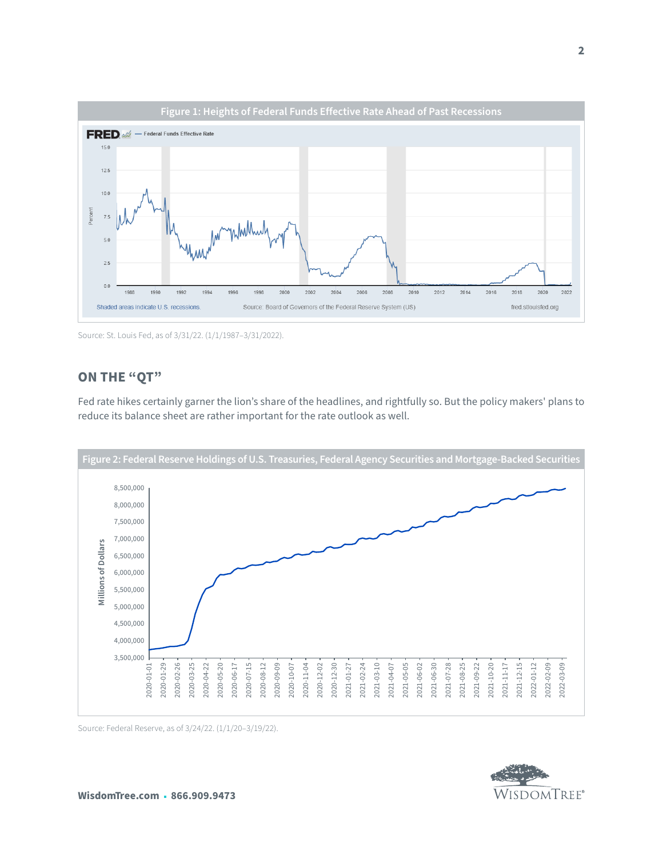

Source: St. Louis Fed, as of 3/31/22. (1/1/1987–3/31/2022).

# **ON THE "QT"**

Fed rate hikes certainly garner the lion's share of the headlines, and rightfully so. But the policy makers' plans to reduce its balance sheet are rather important for the rate outlook as well.



Source: Federal Reserve, as of 3/24/22. (1/1/20–3/19/22).

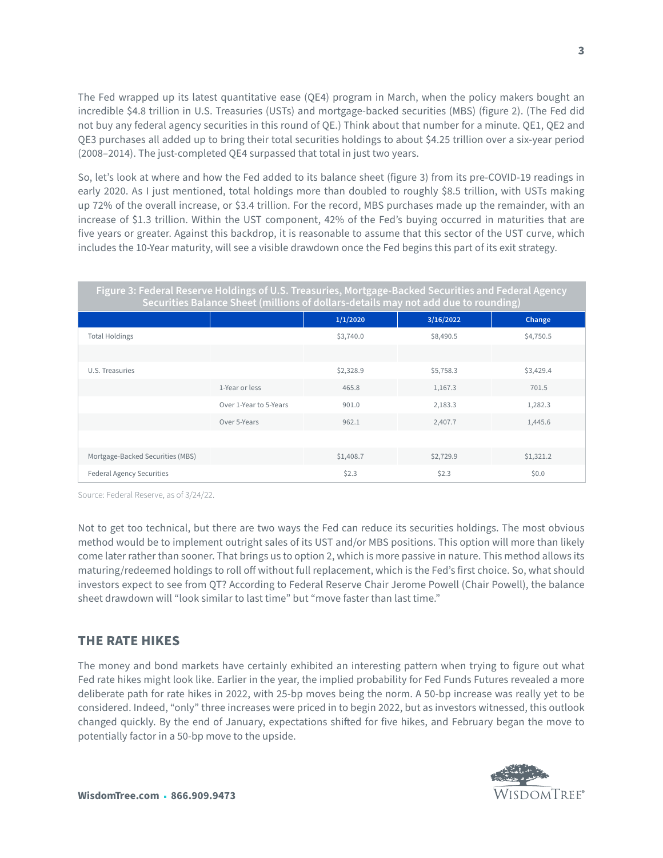The Fed wrapped up its latest quantitative ease (QE4) program in March, when the policy makers bought an incredible \$4.8 trillion in U.S. Treasuries (USTs) and mortgage-backed securities (MBS) (figure 2). (The Fed did not buy any federal agency securities in this round of QE.) Think about that number for a minute. QE1, QE2 and QE3 purchases all added up to bring their total securities holdings to about \$4.25 trillion over a six-year period (2008–2014). The just-completed QE4 surpassed that total in just two years.

So, let's look at where and how the Fed added to its balance sheet (figure 3) from its pre-COVID-19 readings in early 2020. As I just mentioned, total holdings more than doubled to roughly \$8.5 trillion, with USTs making up 72% of the overall increase, or \$3.4 trillion. For the record, MBS purchases made up the remainder, with an increase of \$1.3 trillion. Within the UST component, 42% of the Fed's buying occurred in maturities that are five years or greater. Against this backdrop, it is reasonable to assume that this sector of the UST curve, which includes the 10-Year maturity, will see a visible drawdown once the Fed begins this part of its exit strategy.

| Figure 3: Federal Reserve Holdings of U.S. Treasuries, Mortgage-Backed Securities and Federal Agency<br>Securities Balance Sheet (millions of dollars-details may not add due to rounding) |                        |           |           |           |
|--------------------------------------------------------------------------------------------------------------------------------------------------------------------------------------------|------------------------|-----------|-----------|-----------|
|                                                                                                                                                                                            |                        | 1/1/2020  | 3/16/2022 | Change    |
| <b>Total Holdings</b>                                                                                                                                                                      |                        | \$3,740.0 | \$8,490.5 | \$4,750.5 |
|                                                                                                                                                                                            |                        |           |           |           |
| U.S. Treasuries                                                                                                                                                                            |                        | \$2,328.9 | \$5,758.3 | \$3,429.4 |
|                                                                                                                                                                                            | 1-Year or less         | 465.8     | 1,167.3   | 701.5     |
|                                                                                                                                                                                            | Over 1-Year to 5-Years | 901.0     | 2,183.3   | 1,282.3   |
|                                                                                                                                                                                            | Over 5-Years           | 962.1     | 2,407.7   | 1,445.6   |
|                                                                                                                                                                                            |                        |           |           |           |
| Mortgage-Backed Securities (MBS)                                                                                                                                                           |                        | \$1,408.7 | \$2,729.9 | \$1,321.2 |
| <b>Federal Agency Securities</b>                                                                                                                                                           |                        | \$2.3     | \$2.3     | \$0.0     |

Source: Federal Reserve, as of 3/24/22.

Not to get too technical, but there are two ways the Fed can reduce its securities holdings. The most obvious method would be to implement outright sales of its UST and/or MBS positions. This option will more than likely come later rather than sooner. That brings us to option 2, which is more passive in nature. This method allows its maturing/redeemed holdings to roll off without full replacement, which is the Fed's first choice. So, what should investors expect to see from QT? According to Federal Reserve Chair Jerome Powell (Chair Powell), the balance sheet drawdown will "look similar to last time" but "move faster than last time."

### **THE RATE HIKES**

The money and bond markets have certainly exhibited an interesting pattern when trying to figure out what Fed rate hikes might look like. Earlier in the year, the implied probability for Fed Funds Futures revealed a more deliberate path for rate hikes in 2022, with 25-bp moves being the norm. A 50-bp increase was really yet to be considered. Indeed, "only" three increases were priced in to begin 2022, but as investors witnessed, this outlook changed quickly. By the end of January, expectations shifted for five hikes, and February began the move to potentially factor in a 50-bp move to the upside.

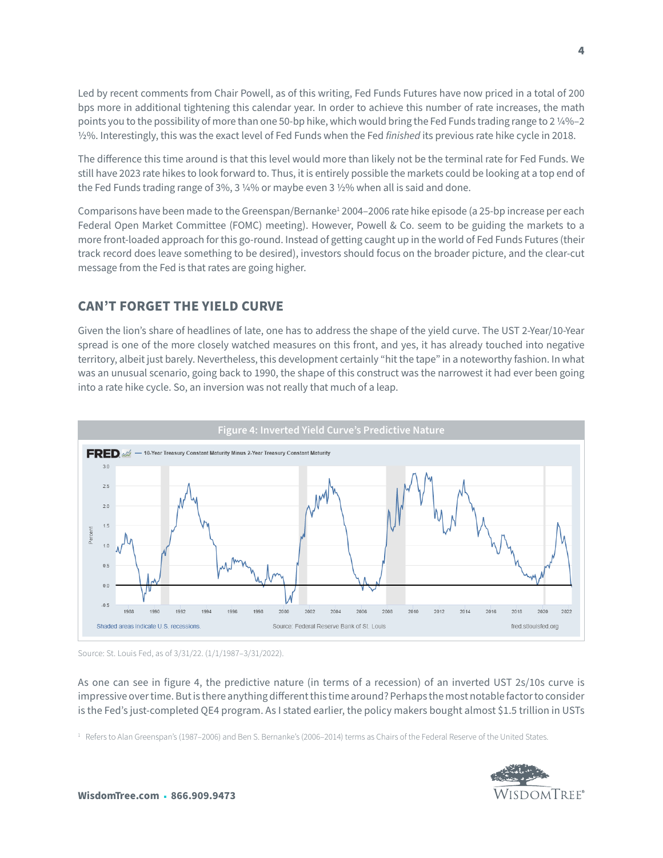Led by recent comments from Chair Powell, as of this writing, Fed Funds Futures have now priced in a total of 200 bps more in additional tightening this calendar year. In order to achieve this number of rate increases, the math points you to the possibility of more than one 50-bp hike, which would bring the Fed Funds trading range to 2 ¼%–2 ½%. Interestingly, this was the exact level of Fed Funds when the Fed *finished* its previous rate hike cycle in 2018.

The difference this time around is that this level would more than likely not be the terminal rate for Fed Funds. We still have 2023 rate hikes to look forward to. Thus, it is entirely possible the markets could be looking at a top end of the Fed Funds trading range of 3%, 3 ¼% or maybe even 3 ½% when all is said and done.

Comparisons have been made to the Greenspan/Bernanke<sup>1</sup> 2004–2006 rate hike episode (a 25-bp increase per each Federal Open Market Committee (FOMC) meeting). However, Powell & Co. seem to be guiding the markets to a more front-loaded approach for this go-round. Instead of getting caught up in the world of Fed Funds Futures (their track record does leave something to be desired), investors should focus on the broader picture, and the clear-cut message from the Fed is that rates are going higher.

# **CAN'T FORGET THE YIELD CURVE**

Given the lion's share of headlines of late, one has to address the shape of the yield curve. The UST 2-Year/10-Year spread is one of the more closely watched measures on this front, and yes, it has already touched into negative territory, albeit just barely. Nevertheless, this development certainly "hit the tape" in a noteworthy fashion. In what was an unusual scenario, going back to 1990, the shape of this construct was the narrowest it had ever been going into a rate hike cycle. So, an inversion was not really that much of a leap.





As one can see in figure 4, the predictive nature (in terms of a recession) of an inverted UST 2s/10s curve is impressive over time. But is there anything different this time around? Perhaps the most notable factor to consider is the Fed's just-completed QE4 program. As I stated earlier, the policy makers bought almost \$1.5 trillion in USTs

 $1$  Refers to Alan Greenspan's (1987–2006) and Ben S. Bernanke's (2006–2014) terms as Chairs of the Federal Reserve of the United States.

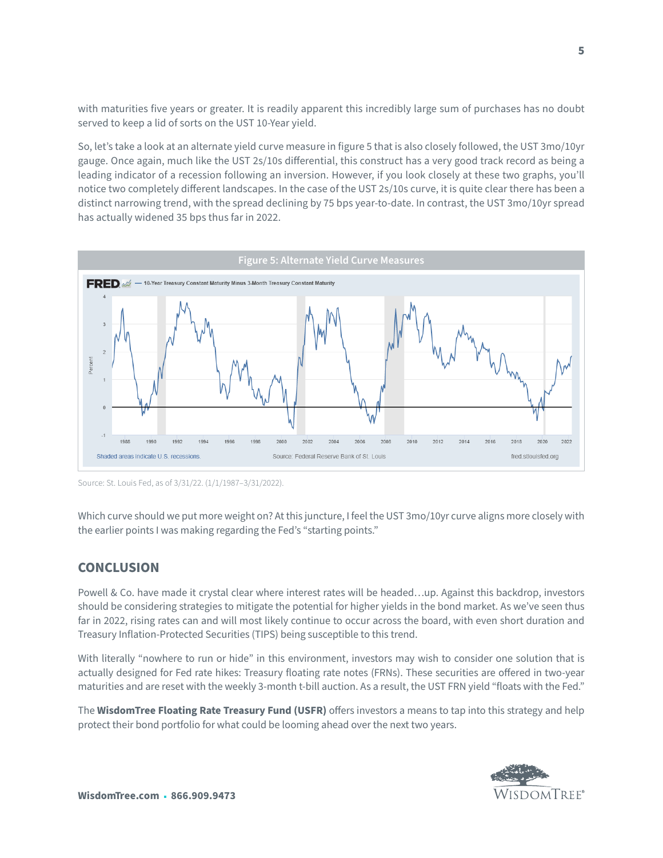with maturities five years or greater. It is readily apparent this incredibly large sum of purchases has no doubt served to keep a lid of sorts on the UST 10-Year yield.

So, let's take a look at an alternate yield curve measure in figure 5 that is also closely followed, the UST 3mo/10yr gauge. Once again, much like the UST 2s/10s differential, this construct has a very good track record as being a leading indicator of a recession following an inversion. However, if you look closely at these two graphs, you'll notice two completely different landscapes. In the case of the UST 2s/10s curve, it is quite clear there has been a distinct narrowing trend, with the spread declining by 75 bps year-to-date. In contrast, the UST 3mo/10yr spread has actually widened 35 bps thus far in 2022.



Source: St. Louis Fed, as of 3/31/22. (1/1/1987–3/31/2022).

Which curve should we put more weight on? At this juncture, I feel the UST 3mo/10yr curve aligns more closely with the earlier points I was making regarding the Fed's "starting points."

## **CONCLUSION**

Powell & Co. have made it crystal clear where interest rates will be headed…up. Against this backdrop, investors should be considering strategies to mitigate the potential for higher yields in the bond market. As we've seen thus far in 2022, rising rates can and will most likely continue to occur across the board, with even short duration and Treasury Inflation-Protected Securities (TIPS) being susceptible to this trend.

With literally "nowhere to run or hide" in this environment, investors may wish to consider one solution that is actually designed for Fed rate hikes: Treasury floating rate notes (FRNs). These securities are offered in two-year maturities and are reset with the weekly 3-month t-bill auction. As a result, the UST FRN yield "floats with the Fed."

The **WisdomTree Floating Rate Treasury Fund (USFR)** offers investors a means to tap into this strategy and help protect their bond portfolio for what could be looming ahead over the next two years.

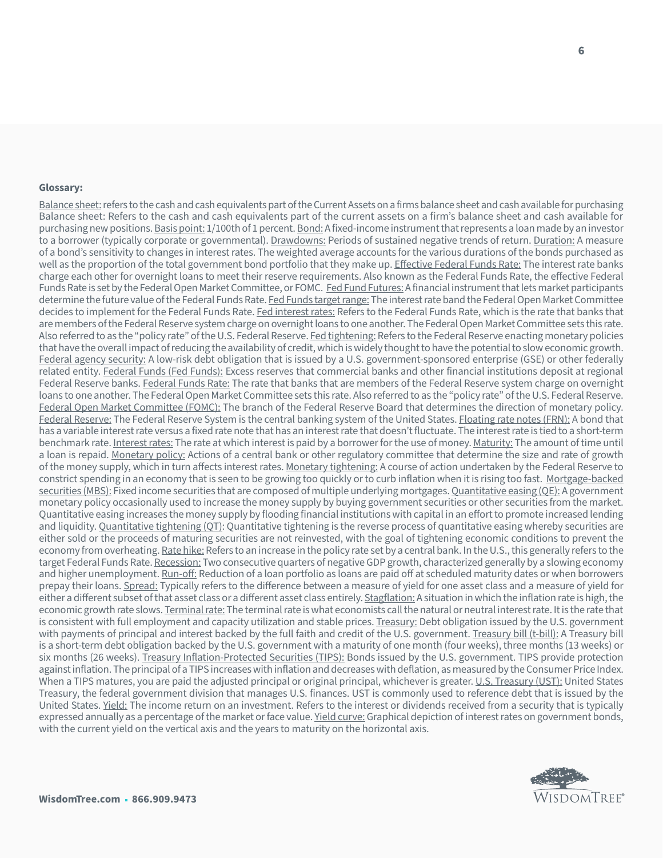#### **Glossary:**

Balance sheet: refers to the cash and cash equivalents part of the Current Assets on a firms balance sheet and cash available for purchasing Balance sheet: Refers to the cash and cash equivalents part of the current assets on a firm's balance sheet and cash available for purchasing new positions. Basis point: 1/100th of 1 percent. Bond: A fixed-income instrument that represents a loan made by an investor to a borrower (typically corporate or governmental). Drawdowns: Periods of sustained negative trends of return. Duration: A measure of a bond's sensitivity to changes in interest rates. The weighted average accounts for the various durations of the bonds purchased as well as the proportion of the total government bond portfolio that they make up. Effective Federal Funds Rate: The interest rate banks charge each other for overnight loans to meet their reserve requirements. Also known as the Federal Funds Rate, the effective Federal Funds Rate is set by the Federal Open Market Committee, or FOMC. Fed Fund Futures: A financial instrument that lets market participants determine the future value of the Federal Funds Rate. Fed Funds target range: The interest rate band the Federal Open Market Committee decides to implement for the Federal Funds Rate. Fed interest rates: Refers to the Federal Funds Rate, which is the rate that banks that are members of the Federal Reserve system charge on overnight loans to one another. The Federal Open Market Committee sets this rate. Also referred to as the "policy rate" of the U.S. Federal Reserve. Fed tightening: Refers to the Federal Reserve enacting monetary policies that have the overall impact of reducing the availability of credit, which is widely thought to have the potential to slow economic growth. Federal agency security: A low-risk debt obligation that is issued by a U.S. government-sponsored enterprise (GSE) or other federally related entity. Federal Funds (Fed Funds): Excess reserves that commercial banks and other financial institutions deposit at regional Federal Reserve banks. Federal Funds Rate: The rate that banks that are members of the Federal Reserve system charge on overnight loans to one another. The Federal Open Market Committee sets this rate. Also referred to as the "policy rate" of the U.S. Federal Reserve. Federal Open Market Committee (FOMC): The branch of the Federal Reserve Board that determines the direction of monetary policy. Federal Reserve: The Federal Reserve System is the central banking system of the United States. Floating rate notes (FRN): A bond that has a variable interest rate versus a fixed rate note that has an interest rate that doesn't fluctuate. The interest rate is tied to a short-term benchmark rate. Interest rates: The rate at which interest is paid by a borrower for the use of money. Maturity: The amount of time until a loan is repaid. Monetary policy: Actions of a central bank or other regulatory committee that determine the size and rate of growth of the money supply, which in turn affects interest rates. Monetary tightening: A course of action undertaken by the Federal Reserve to constrict spending in an economy that is seen to be growing too quickly or to curb inflation when it is rising too fast. Mortgage-backed securities (MBS): Fixed income securities that are composed of multiple underlying mortgages. Quantitative easing (QE): A government monetary policy occasionally used to increase the money supply by buying government securities or other securities from the market. Quantitative easing increases the money supply by flooding financial institutions with capital in an effort to promote increased lending and liquidity. Quantitative tightening (QT): Quantitative tightening is the reverse process of quantitative easing whereby securities are either sold or the proceeds of maturing securities are not reinvested, with the goal of tightening economic conditions to prevent the economy from overheating. Rate hike: Refers to an increase in the policy rate set by a central bank. In the U.S., this generally refers to the target Federal Funds Rate. Recession: Two consecutive quarters of negative GDP growth, characterized generally by a slowing economy and higher unemployment. Run-off: Reduction of a loan portfolio as loans are paid off at scheduled maturity dates or when borrowers prepay their loans. Spread: Typically refers to the difference between a measure of yield for one asset class and a measure of yield for either a different subset of that asset class or a different asset class entirely. Stagflation: A situation in which the inflation rate is high, the economic growth rate slows. Terminal rate: The terminal rate is what economists call the natural or neutral interest rate. It is the rate that is consistent with full employment and capacity utilization and stable prices. Treasury: Debt obligation issued by the U.S. government with payments of principal and interest backed by the full faith and credit of the U.S. government. Treasury bill (t-bill): A Treasury bill is a short-term debt obligation backed by the U.S. government with a maturity of one month (four weeks), three months (13 weeks) or six months (26 weeks). Treasury Inflation-Protected Securities (TIPS): Bonds issued by the U.S. government. TIPS provide protection against inflation. The principal of a TIPS increases with inflation and decreases with deflation, as measured by the Consumer Price Index. When a TIPS matures, you are paid the adjusted principal or original principal, whichever is greater. U.S. Treasury (UST): United States Treasury, the federal government division that manages U.S. finances. UST is commonly used to reference debt that is issued by the United States. Yield: The income return on an investment. Refers to the interest or dividends received from a security that is typically expressed annually as a percentage of the market or face value. Yield curve: Graphical depiction of interest rates on government bonds, with the current yield on the vertical axis and the years to maturity on the horizontal axis.